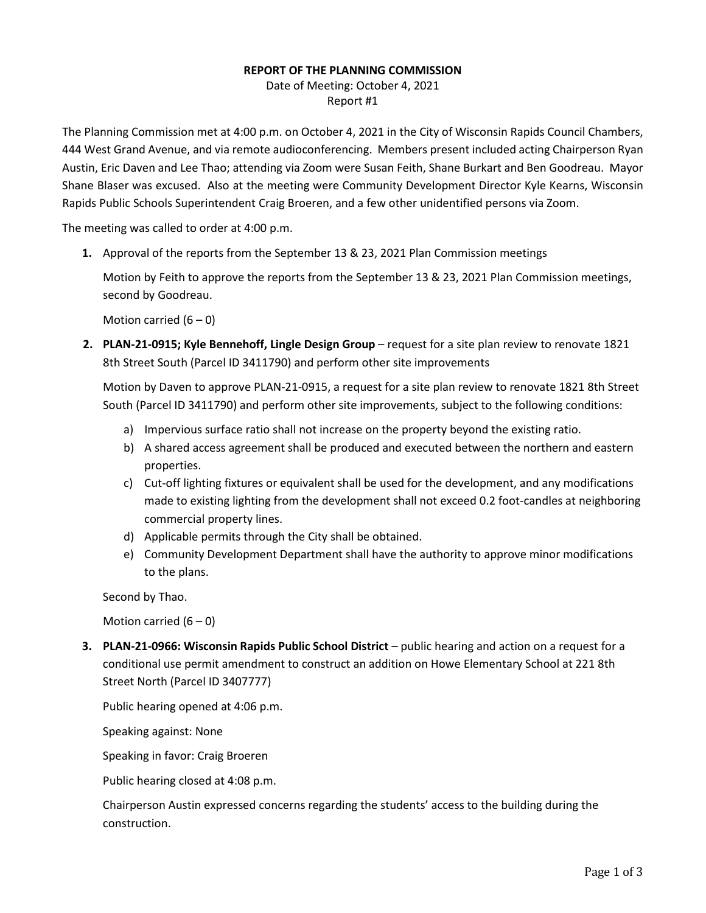## **REPORT OF THE PLANNING COMMISSION**

Date of Meeting: October 4, 2021 Report #1

The Planning Commission met at 4:00 p.m. on October 4, 2021 in the City of Wisconsin Rapids Council Chambers, 444 West Grand Avenue, and via remote audioconferencing. Members present included acting Chairperson Ryan Austin, Eric Daven and Lee Thao; attending via Zoom were Susan Feith, Shane Burkart and Ben Goodreau. Mayor Shane Blaser was excused. Also at the meeting were Community Development Director Kyle Kearns, Wisconsin Rapids Public Schools Superintendent Craig Broeren, and a few other unidentified persons via Zoom.

The meeting was called to order at 4:00 p.m.

**1.** Approval of the reports from the September 13 & 23, 2021 Plan Commission meetings

Motion by Feith to approve the reports from the September 13 & 23, 2021 Plan Commission meetings, second by Goodreau.

Motion carried  $(6 - 0)$ 

**2. PLAN-21-0915; Kyle Bennehoff, Lingle Design Group** – request for a site plan review to renovate 1821 8th Street South (Parcel ID 3411790) and perform other site improvements

Motion by Daven to approve PLAN-21-0915, a request for a site plan review to renovate 1821 8th Street South (Parcel ID 3411790) and perform other site improvements, subject to the following conditions:

- a) Impervious surface ratio shall not increase on the property beyond the existing ratio.
- b) A shared access agreement shall be produced and executed between the northern and eastern properties.
- c) Cut-off lighting fixtures or equivalent shall be used for the development, and any modifications made to existing lighting from the development shall not exceed 0.2 foot-candles at neighboring commercial property lines.
- d) Applicable permits through the City shall be obtained.
- e) Community Development Department shall have the authority to approve minor modifications to the plans.

Second by Thao.

Motion carried  $(6 - 0)$ 

**3. PLAN-21-0966: Wisconsin Rapids Public School District** – public hearing and action on a request for a conditional use permit amendment to construct an addition on Howe Elementary School at 221 8th Street North (Parcel ID 3407777)

Public hearing opened at 4:06 p.m.

Speaking against: None

Speaking in favor: Craig Broeren

Public hearing closed at 4:08 p.m.

Chairperson Austin expressed concerns regarding the students' access to the building during the construction.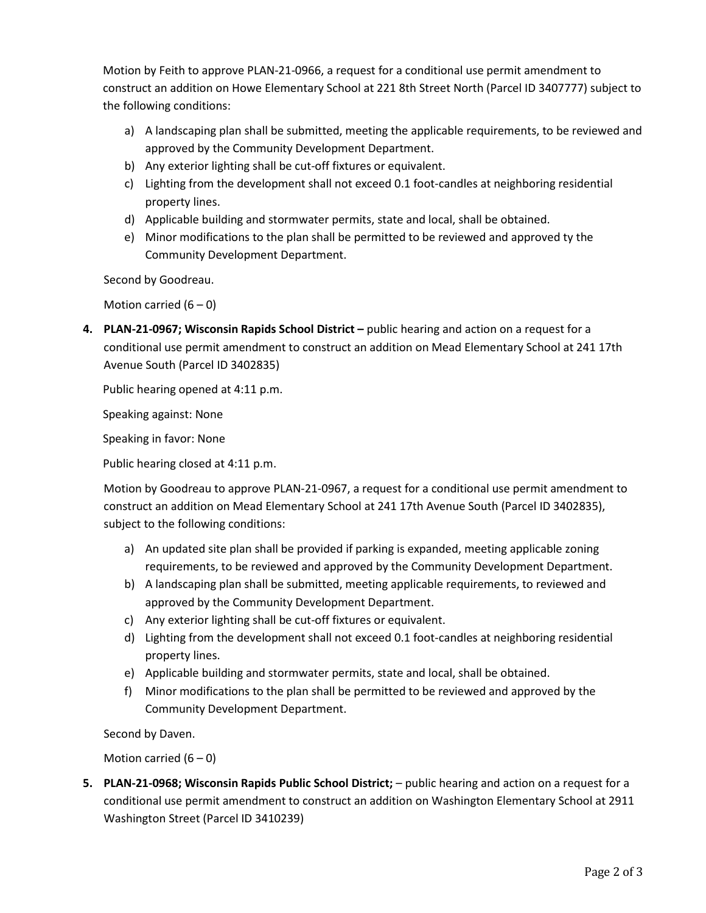Motion by Feith to approve PLAN-21-0966, a request for a conditional use permit amendment to construct an addition on Howe Elementary School at 221 8th Street North (Parcel ID 3407777) subject to the following conditions:

- a) A landscaping plan shall be submitted, meeting the applicable requirements, to be reviewed and approved by the Community Development Department.
- b) Any exterior lighting shall be cut-off fixtures or equivalent.
- c) Lighting from the development shall not exceed 0.1 foot-candles at neighboring residential property lines.
- d) Applicable building and stormwater permits, state and local, shall be obtained.
- e) Minor modifications to the plan shall be permitted to be reviewed and approved ty the Community Development Department.

Second by Goodreau.

Motion carried  $(6 - 0)$ 

**4. PLAN-21-0967; Wisconsin Rapids School District –** public hearing and action on a request for a conditional use permit amendment to construct an addition on Mead Elementary School at 241 17th Avenue South (Parcel ID 3402835)

Public hearing opened at 4:11 p.m.

Speaking against: None

Speaking in favor: None

Public hearing closed at 4:11 p.m.

Motion by Goodreau to approve PLAN-21-0967, a request for a conditional use permit amendment to construct an addition on Mead Elementary School at 241 17th Avenue South (Parcel ID 3402835), subject to the following conditions:

- a) An updated site plan shall be provided if parking is expanded, meeting applicable zoning requirements, to be reviewed and approved by the Community Development Department.
- b) A landscaping plan shall be submitted, meeting applicable requirements, to reviewed and approved by the Community Development Department.
- c) Any exterior lighting shall be cut-off fixtures or equivalent.
- d) Lighting from the development shall not exceed 0.1 foot-candles at neighboring residential property lines.
- e) Applicable building and stormwater permits, state and local, shall be obtained.
- f) Minor modifications to the plan shall be permitted to be reviewed and approved by the Community Development Department.

Second by Daven.

Motion carried  $(6 - 0)$ 

**5. PLAN-21-0968; Wisconsin Rapids Public School District;** – public hearing and action on a request for a conditional use permit amendment to construct an addition on Washington Elementary School at 2911 Washington Street (Parcel ID 3410239)